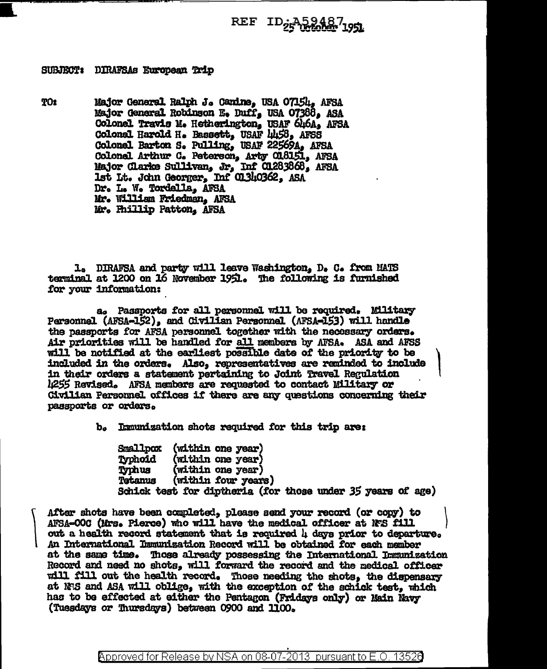## REF ID<sub>25</sub>A594871951

## SUBJECT: DIRAFSAS European Trip

**TO:** Major General Ralph J. Cardne, USA 07154. AFSA Major General Robinson E. Duff. USA 07388. ASA Colonel Travis M. Hetherington, USAF 646A, AFSA Colonal Harold H. Bassett. USAF 1458. AFSS Colonel Barton S. Pulling. USAF 22569A. AFSA Colonel Arthur C. Peterson, Arty 018151, AFSA Major Clarke Sullivan, Jr, Inf C1283868, AFSA 1st It. John Georger. Inf 01340362. ASA Dr. I. W. Tordella. AFSA Mr. William Friedman. AFSA Mr. Phillip Patton. AFSA

1. DIRAFSA and party will leave Washington, D. C. from MATS terminal at 1200 on 16 November 1951. The following is furnished for your information:

a. Passnorts for all personnel will be required. Military Personnel (AFSA-152), and Civilian Personnel (AFSA-153) will handle the passports for AFSA personnel together with the necessary orders. Air priorities will be handled for all members by AFSA. ASA and AFSS will be notified at the earliest possible date of the priority to be included in the orders. Also, representatives are raminded to include in their orders a statement pertaining to Joint Travel Regulation 1255 Revised. AFSA members are requested to contact Military or Civilian Personnel offices if there are any questions concerning their passports or orders.

b. Immunization shots required for this trip are:

Smallpox (within one year) (within one year) Typhoid Typhus (within one year) (within four years) **Tetanus** Schick test for dintheria (for those under 35 years of age)

After shots have been completed, please send your record (or copy) to AFSA-000 (Mrs. Pierce) who will have the medical officer at NS fill out a health record statement that is required 4 days prior to departure. An International Immunization Record will be obtained for each member at the same time. Those already possessing the International Immunization Record and need no shots, will forward the record and the medical officer will fill out the health record. Those needing the shots, the dispensary at N:S and ASA will oblige, with the exception of the schick test, which has to be effected at either the Pentagon (Fridays only) or Main Navy (Tuesdays or Thursdays) between 0900 and 1100.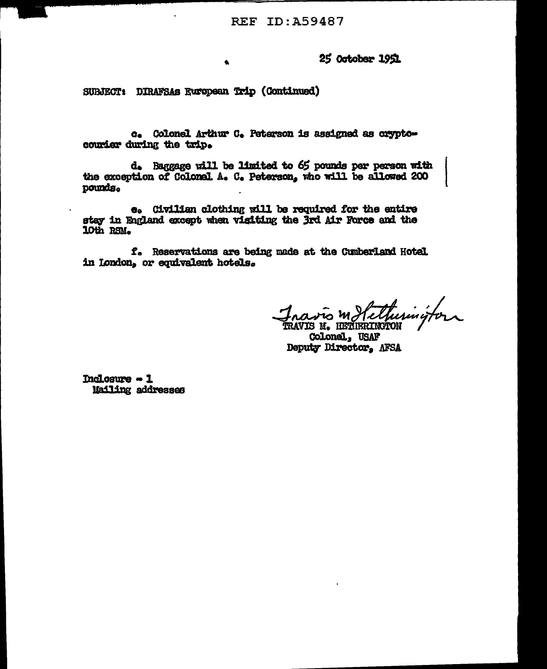**REF ID: A59487** 

25 October 1951

SURJECT: DIRAFSAS European Trip (Continued)

 $\bullet$ 

c. Colonel Arthur C. Peterson is assigned as oryptocourier during the trip.

d. Baggage will be limited to 65 pounds per person with the exception of Colonel A. C. Peterson, who will be allowed 200 pounds.

e. Civilian clothing will be required for the entire stay in England except when visiting the 3rd Air Force and the 10th RSM.

f. Reservations are being made at the Cumberland Hotel in London, or equivalent hotels.

navis motelluminitor **TRAVIS M. IBETIERINGTON** 

**Colonal**. USAF Deputy Director, AFSA

Inclosure - 1 **Mailing addresses**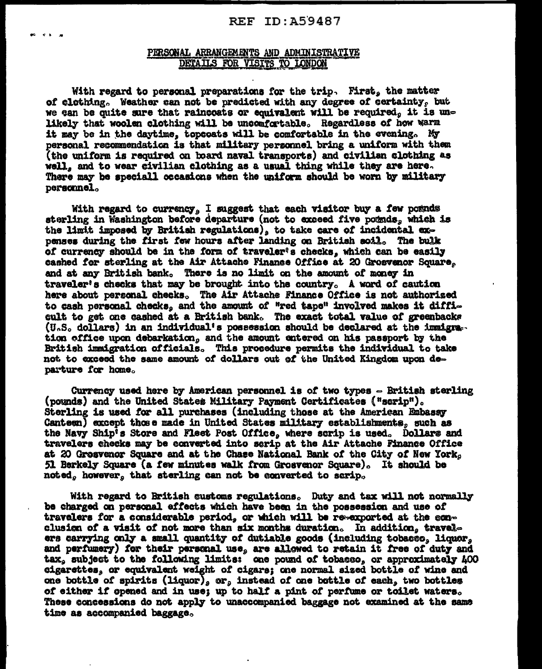## REF ID: A59487

## PERSONAL ARRANGEMENTS AND ADMINISTRATIVE DETAILS FOR VISITS TO LONDON

With regard to personal preparations for the trip. First, the matter of clothing. Weather can not be predicted with any degree of certainty, but we can be quite sure that raincoats or equivalent will be required, it is unlikely that woolen clothing will be uncomfortable. Regardless of how warm it may be in the daytime, topcoats will be comfortable in the evening. My personal recommendation is that military personnel bring a uniform with them (the uniform is required on board naval transports) and civilian clothing as well, and to wear civilian clothing as a usual thing while they are here. There may be speciall occasions when the uniform should be worn by military personnel.

With regard to currency, I suggest that each visitor buy a few pounds sterling in Washington before departure (not to exceed five pounds, which is the limit imposed by Britiah regulations), to take care of incidental expenses during the first few hours after landing on British soil. The bulk of currency should be in the form of traveler's checks, which can be easily cashed for sterling at the Air Attache Finance Office at 20 Grosvenor Square, and at any British bank. There is no limit on the amount of money in traveler's checks that may be brought into the country. A word of caution here about personal checks. The Air Attache Finance Office is not authorized to cash personal checks, and the amount of "red tape" involved makes it difficult to get one cashed at a British bank. The exact total value of greenbacks (U.S. dollars) in an individual's possession should be declared at the immigration office upon debarkation, and the amount entered on his passport by the British immigration officials. This procedure permits the individual to take not to exceed the same amount of dollars out of the United Kingdom upon departure for home.

Currency used here by American personnel is of two types = British sterling (pounds) and the United States Military Payment Certificates ("scrip"). Sterling is used for all purchases (including those at the American Embassy Canteen) except those made in United States military establishments, such as the Navy Ship's Store and Fleet Post Office, where scrip is used. Dollars and travelers checks may be converted into serip at the Air Attache Finance Office at 20 Grosvenor Square and at the Chase National Bank of the City of New York, 51 Berkely Square (a few minutes walk from Grosvenor Square). It should be noted, however, that sterling can not be converted to scrip.

With regard to British customs regulations. Duty and tax will not normally be charged on personal effects which have been in the possession and use of travelers for a considerable period, or which will be re-exported at the conclusion of a visit of not more than six months duration. In addition, travelers carrying only a small quantity of dutiable goods (including tobacco, liquor, and perfumery) for their personal use, are allowed to retain it free of duty and tax. subject to the following limits: one pound of tobacso, or approximately 400 cigarettes, or equivalent weight of cigars; one normal sized bottle of wine and one bottle of spirits (liquor), or, instead of one bottle of each, two bottles of either if opened and in use; up to half a pint of perfume or toilet waters. These concessions do not apply to unaccompanied baggage not examined at the same time as accompanied baggage.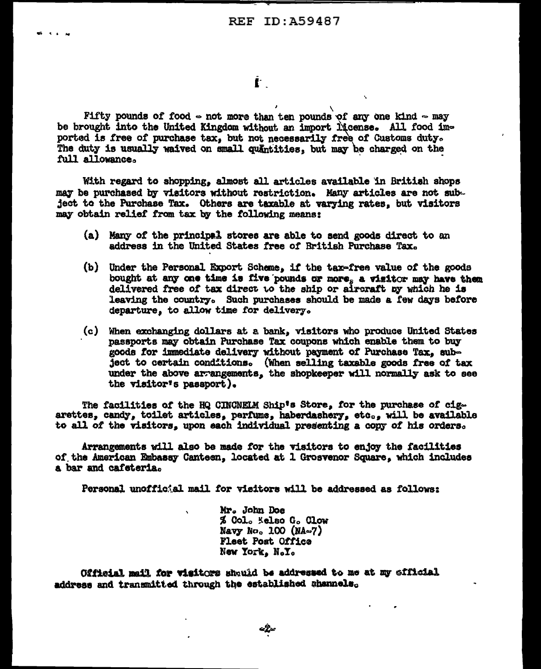Ť.

Fifty pounds of food  $\circ$  not more than ten pounds of any one kind  $\circ$  may be brought into the United Kingdom without an import license. All food imported is free of purchase tax, but not necessarily free of Customs duty. The duty is usually waived on small quantities, but may be charged on the full allowance.

With regard to shopping, almost all articles available in British shops may be purchased by visitors without restriction. Many articles are not subject to the Purchase Tax. Others are taxable at varying rates, but visitors may obtain relief from tax by the following means:

- (a) Many of the principal stores are able to send goods direct to an address in the United States free of British Purchase Tax.
- (b) Under the Personal Export Scheme, if the tax-free value of the goods bought at any one time is five pounds or more, a visitor may have then delivered free of tax direct to the ship or aircraft by which he is leaving the country. Such purchases should be made a few days before departure, to allow time for delivery.
- (c) When exchanging dollars at a bank, visitors who produce United States passports may obtain Purchase Tax coupons which enable them to buy goods for immediate delivery without payment of Purchase Tax, subject to certain conditions. (When selling taxable goods free of tax under the above arrangements, the shopkeeper will normally ask to see the visitor's passport).

The facilities of the HQ CINCNELM Ship's Store, for the purchase of cigarettes, candy, toilet articles, perfume, haberdashery, etc., will be available to all of the visitors, upon each individual presenting a copy of his orders.

Arrangements will also be made for the visitors to enjoy the facilities of the American Embassy Canteen, located at 1 Grosvenor Square, which includes a bar and cafeteria.

Personal unofficial mail for visitors will be addressed as follows:

Mr. John Doe % Col. Kelso G. Clow Navy No. 100 (NA $\approx$ 7) Fleet Post Office New York, N.Y.

Official mail for visitors should be addressed to me at my official address and transmitted through the established shannels.